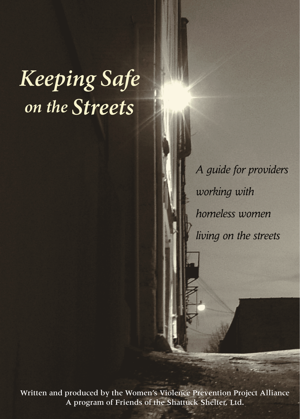# *Keeping Safe on the Streets*

*A guide for providers working with homeless women living on the streets*

Written and produced by the Women's Violence Prevention Project Alliance A program of Friends of the Shattuck Shelter, Ltd.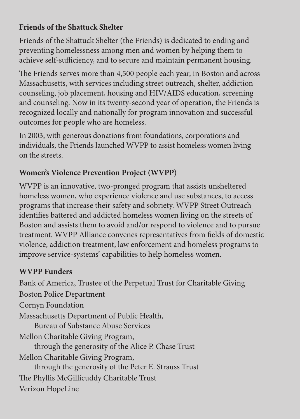### **Friends of the Shattuck Shelter**

Friends of the Shattuck Shelter (the Friends) is dedicated to ending and preventing homelessness among men and women by helping them to achieve self-sufficiency, and to secure and maintain permanent housing.

The Friends serves more than 4,500 people each year, in Boston and across Massachusetts, with services including street outreach, shelter, addiction counseling, job placement, housing and HIV/AIDS education, screening and counseling. Now in its twenty-second year of operation, the Friends is recognized locally and nationally for program innovation and successful outcomes for people who are homeless.

In 2003, with generous donations from foundations, corporations and individuals, the Friends launched WVPP to assist homeless women living on the streets.

### **Women's Violence Prevention Project (WVPP)**

WVPP is an innovative, two-pronged program that assists unsheltered homeless women, who experience violence and use substances, to access programs that increase their safety and sobriety. WVPP Street Outreach identifies battered and addicted homeless women living on the streets of Boston and assists them to avoid and/or respond to violence and to pursue treatment. WVPP Alliance convenes representatives from fields of domestic violence, addiction treatment, law enforcement and homeless programs to improve service-systems' capabilities to help homeless women.

### **WVPP Funders**

Bank of America, Trustee of the Perpetual Trust for Charitable Giving Boston Police Department Cornyn Foundation Massachusetts Department of Public Health, Bureau of Substance Abuse Services Mellon Charitable Giving Program, through the generosity of the Alice P. Chase Trust Mellon Charitable Giving Program, through the generosity of the Peter E. Strauss Trust The Phyllis McGillicuddy Charitable Trust Verizon HopeLine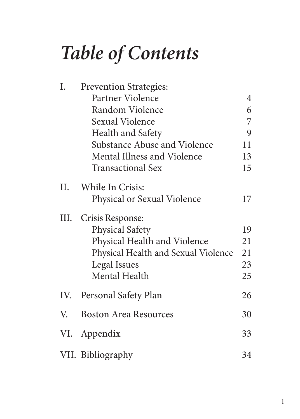# *Table of Contents*

| I.  | <b>Prevention Strategies:</b>       |    |
|-----|-------------------------------------|----|
|     | Partner Violence                    | 4  |
|     | Random Violence                     | 6  |
|     | <b>Sexual Violence</b>              | 7  |
|     | Health and Safety                   | 9  |
|     | Substance Abuse and Violence        | 11 |
|     | Mental Illness and Violence         | 13 |
|     | Transactional Sex                   | 15 |
| H.  | While In Crisis:                    |    |
|     | Physical or Sexual Violence         | 17 |
| Ш.  | Crisis Response:                    |    |
|     | <b>Physical Safety</b>              | 19 |
|     | Physical Health and Violence        | 21 |
|     | Physical Health and Sexual Violence | 21 |
|     | Legal Issues                        | 23 |
|     | Mental Health                       | 25 |
| IV. | Personal Safety Plan                | 26 |
| V   | <b>Boston Area Resources</b>        | 30 |
| VI. | Appendix                            | 33 |
|     | VII. Bibliography                   | 34 |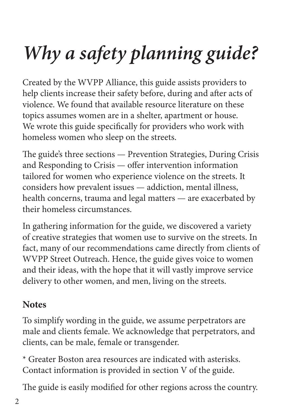# *Why a safety planning guide?*

Created by the WVPP Alliance, this guide assists providers to help clients increase their safety before, during and after acts of violence. We found that available resource literature on these topics assumes women are in a shelter, apartment or house. We wrote this guide specifically for providers who work with homeless women who sleep on the streets.

The guide's three sections — Prevention Strategies, During Crisis and Responding to Crisis  $-$  offer intervention information tailored for women who experience violence on the streets. It considers how prevalent issues — addiction, mental illness, health concerns, trauma and legal matters — are exacerbated by their homeless circumstances.

In gathering information for the guide, we discovered a variety of creative strategies that women use to survive on the streets. In fact, many of our recommendations came directly from clients of WVPP Street Outreach. Hence, the guide gives voice to women and their ideas, with the hope that it will vastly improve service delivery to other women, and men, living on the streets.

# **Notes**

To simplify wording in the guide, we assume perpetrators are male and clients female. We acknowledge that perpetrators, and clients, can be male, female or transgender.

\* Greater Boston area resources are indicated with asterisks. Contact information is provided in section V of the guide.

The guide is easily modified for other regions across the country.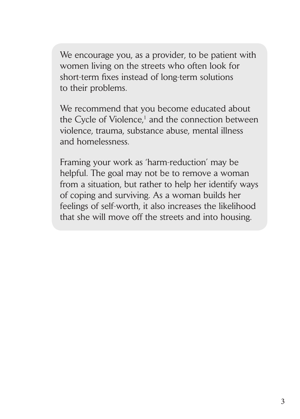We encourage you, as a provider, to be patient with women living on the streets who often look for short-term fixes instead of long-term solutions to their problems.

We recommend that you become educated about the Cycle of Violence,<sup>1</sup> and the connection between violence, trauma, substance abuse, mental illness and homelessness.

Framing your work as 'harm-reduction' may be helpful. The goal may not be to remove a woman from a situation, but rather to help her identify ways of coping and surviving. As a woman builds her feelings of self-worth, it also increases the likelihood that she will move off the streets and into housing.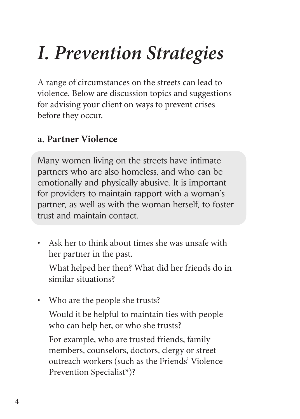# *I. Prevention Strategies*

A range of circumstances on the streets can lead to violence. Below are discussion topics and suggestions for advising your client on ways to prevent crises before they occur.

# **a. Partner Violence**

Many women living on the streets have intimate partners who are also homeless, and who can be emotionally and physically abusive. It is important for providers to maintain rapport with a woman's partner, as well as with the woman herself, to foster trust and maintain contact.

• Ask her to think about times she was unsafe with her partner in the past.

What helped her then? What did her friends do in similar situations?

• Who are the people she trusts?

Would it be helpful to maintain ties with people who can help her, or who she trusts?

For example, who are trusted friends, family members, counselors, doctors, clergy or street outreach workers (such as the Friends' Violence Prevention Specialist\*)?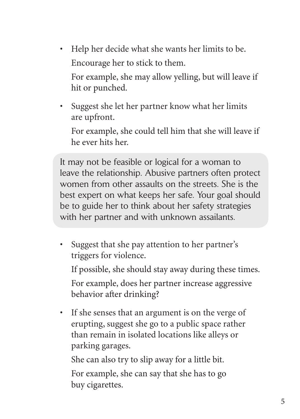• Help her decide what she wants her limits to be. Encourage her to stick to them.

For example, she may allow yelling, but will leave if hit or punched.

• Suggest she let her partner know what her limits are upfront.

For example, she could tell him that she will leave if he ever hits her.

It may not be feasible or logical for a woman to leave the relationship. Abusive partners often protect women from other assaults on the streets. She is the best expert on what keeps her safe. Your goal should be to guide her to think about her safety strategies with her partner and with unknown assailants.

• Suggest that she pay attention to her partner's triggers for violence.

If possible, she should stay away during these times.

For example, does her partner increase aggressive behavior after drinking?

• If she senses that an argument is on the verge of erupting, suggest she go to a public space rather than remain in isolated locations like alleys or parking garages.

She can also try to slip away for a little bit.

For example, she can say that she has to go buy cigarettes.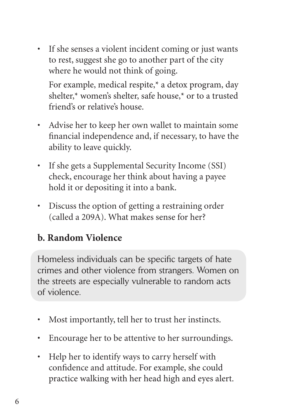• If she senses a violent incident coming or just wants to rest, suggest she go to another part of the city where he would not think of going.

For example, medical respite,\* a detox program, day shelter,\* women's shelter, safe house,\* or to a trusted friend's or relative's house.

- Advise her to keep her own wallet to maintain some financial independence and, if necessary, to have the ability to leave quickly.
- If she gets a Supplemental Security Income (SSI) check, encourage her think about having a payee hold it or depositing it into a bank.
- Discuss the option of getting a restraining order (called a 209A). What makes sense for her?

# **b. Random Violence**

Homeless individuals can be specific targets of hate crimes and other violence from strangers. Women on the streets are especially vulnerable to random acts of violence.

- Most importantly, tell her to trust her instincts.
- Encourage her to be attentive to her surroundings.
- Help her to identify ways to carry herself with confidence and attitude. For example, she could practice walking with her head high and eyes alert.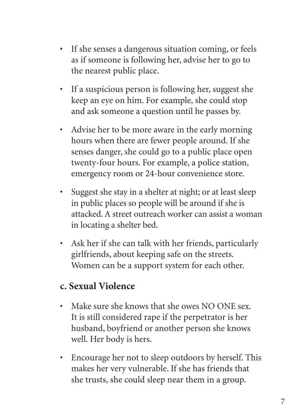- If she senses a dangerous situation coming, or feels as if someone is following her, advise her to go to the nearest public place.
- If a suspicious person is following her, suggest she keep an eye on him. For example, she could stop and ask someone a question until he passes by.
- Advise her to be more aware in the early morning hours when there are fewer people around. If she senses danger, she could go to a public place open twenty-four hours. For example, a police station, emergency room or 24-hour convenience store.
- Suggest she stay in a shelter at night; or at least sleep in public places so people will be around if she is attacked. A street outreach worker can assist a woman in locating a shelter bed.
- Ask her if she can talk with her friends, particularly girlfriends, about keeping safe on the streets. Women can be a support system for each other.

## **c. Sexual Violence**

- Make sure she knows that she owes NO ONE sex. It is still considered rape if the perpetrator is her husband, boyfriend or another person she knows well. Her body is hers.
- Encourage her not to sleep outdoors by herself. This makes her very vulnerable. If she has friends that she trusts, she could sleep near them in a group.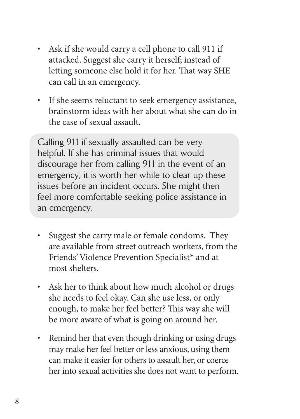- Ask if she would carry a cell phone to call 911 if attacked. Suggest she carry it herself; instead of letting someone else hold it for her. That way SHE can call in an emergency.
- If she seems reluctant to seek emergency assistance, brainstorm ideas with her about what she can do in the case of sexual assault.

Calling 911 if sexually assaulted can be very helpful. If she has criminal issues that would discourage her from calling 911 in the event of an emergency, it is worth her while to clear up these issues before an incident occurs. She might then feel more comfortable seeking police assistance in an emergency.

- Suggest she carry male or female condoms. They are available from street outreach workers, from the Friends' Violence Prevention Specialist\* and at most shelters.
- Ask her to think about how much alcohol or drugs she needs to feel okay. Can she use less, or only enough, to make her feel better? This way she will be more aware of what is going on around her.
- Remind her that even though drinking or using drugs may make her feel better or less anxious, using them can make it easier for others to assault her, or coerce her into sexual activities she does not want to perform.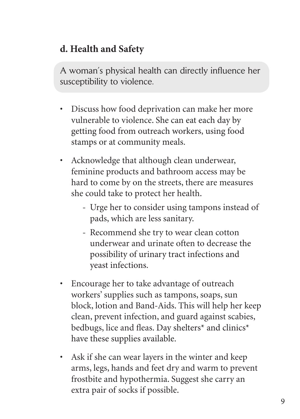# **d. Health and Safety**

A woman's physical health can directly influence her susceptibility to violence.

- Discuss how food deprivation can make her more vulnerable to violence. She can eat each day by getting food from outreach workers, using food stamps or at community meals.
- Acknowledge that although clean underwear, feminine products and bathroom access may be hard to come by on the streets, there are measures she could take to protect her health.
	- Urge her to consider using tampons instead of pads, which are less sanitary.
	- Recommend she try to wear clean cotton underwear and urinate often to decrease the possibility of urinary tract infections and yeast infections.
- Encourage her to take advantage of outreach workers' supplies such as tampons, soaps, sun block, lotion and Band-Aids. This will help her keep clean, prevent infection, and guard against scabies, bedbugs, lice and fleas. Day shelters<sup>\*</sup> and clinics<sup>\*</sup> have these supplies available.
- Ask if she can wear layers in the winter and keep arms, legs, hands and feet dry and warm to prevent frostbite and hypothermia. Suggest she carry an extra pair of socks if possible.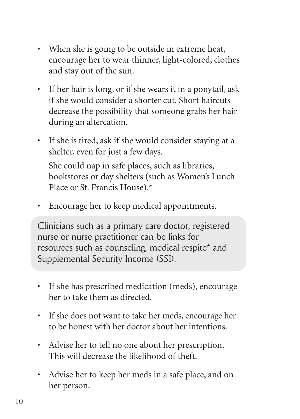- When she is going to be outside in extreme heat, encourage her to wear thinner, light-colored, clothes and stay out of the sun.
- If her hair is long, or if she wears it in a ponytail, ask if she would consider a shorter cut. Short haircuts decrease the possibility that someone grabs her hair during an altercation.
- If she is tired, ask if she would consider staying at a shelter, even for just a few days. She could nap in safe places, such as libraries, bookstores or day shelters (such as Women's Lunch
	- Place or St. Francis House).\*
- Encourage her to keep medical appointments.

Clinicians such as a primary care doctor, registered nurse or nurse practitioner can be links for resources such as counseling, medical respite\* and Supplemental Security Income (SSI).

- If she has prescribed medication (meds), encourage her to take them as directed.
- If she does not want to take her meds, encourage her to be honest with her doctor about her intentions.
- Advise her to tell no one about her prescription. This will decrease the likelihood of theft.
- Advise her to keep her meds in a safe place, and on her person.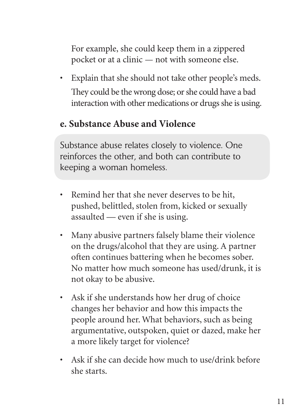For example, she could keep them in a zippered pocket or at a clinic — not with someone else.

• Explain that she should not take other people's meds. They could be the wrong dose; or she could have a bad interaction with other medications or drugs she is using.

## **e. Substance Abuse and Violence**

Substance abuse relates closely to violence. One reinforces the other, and both can contribute to keeping a woman homeless.

- Remind her that she never deserves to be hit, pushed, belittled, stolen from, kicked or sexually assaulted — even if she is using.
- Many abusive partners falsely blame their violence on the drugs/alcohol that they are using. A partner often continues battering when he becomes sober. No matter how much someone has used/drunk, it is not okay to be abusive.
- Ask if she understands how her drug of choice changes her behavior and how this impacts the people around her. What behaviors, such as being argumentative, outspoken, quiet or dazed, make her a more likely target for violence?
- Ask if she can decide how much to use/drink before she starts.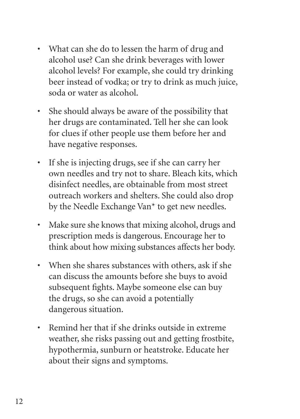- What can she do to lessen the harm of drug and alcohol use? Can she drink beverages with lower alcohol levels? For example, she could try drinking beer instead of vodka; or try to drink as much juice, soda or water as alcohol.
- She should always be aware of the possibility that her drugs are contaminated. Tell her she can look for clues if other people use them before her and have negative responses.
- If she is injecting drugs, see if she can carry her own needles and try not to share. Bleach kits, which disinfect needles, are obtainable from most street outreach workers and shelters. She could also drop by the Needle Exchange Van\* to get new needles.
- Make sure she knows that mixing alcohol, drugs and prescription meds is dangerous. Encourage her to think about how mixing substances affects her body.
- When she shares substances with others, ask if she can discuss the amounts before she buys to avoid subsequent fights. Maybe someone else can buy the drugs, so she can avoid a potentially dangerous situation.
- Remind her that if she drinks outside in extreme weather, she risks passing out and getting frostbite, hypothermia, sunburn or heatstroke. Educate her about their signs and symptoms.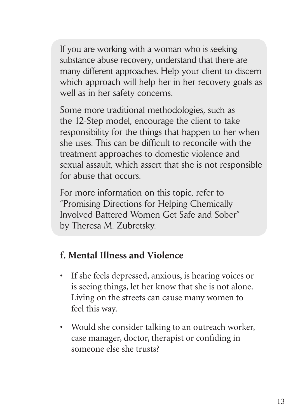If you are working with a woman who is seeking substance abuse recovery, understand that there are many different approaches. Help your client to discern which approach will help her in her recovery goals as well as in her safety concerns.

Some more traditional methodologies, such as the 12-Step model, encourage the client to take responsibility for the things that happen to her when she uses. This can be difficult to reconcile with the treatment approaches to domestic violence and sexual assault, which assert that she is not responsible for abuse that occurs.

For more information on this topic, refer to "Promising Directions for Helping Chemically Involved Battered Women Get Safe and Sober" by Theresa M. Zubretsky.

# **f. Mental Illness and Violence**

- If she feels depressed, anxious, is hearing voices or is seeing things, let her know that she is not alone. Living on the streets can cause many women to feel this way.
- Would she consider talking to an outreach worker, case manager, doctor, therapist or confiding in someone else she trusts?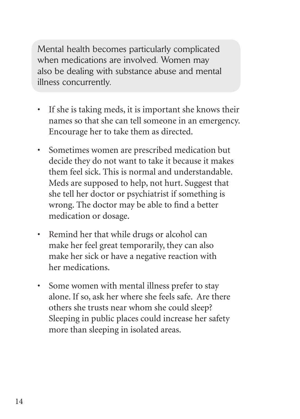Mental health becomes particularly complicated when medications are involved. Women may also be dealing with substance abuse and mental illness concurrently.

- If she is taking meds, it is important she knows their names so that she can tell someone in an emergency. Encourage her to take them as directed.
- Sometimes women are prescribed medication but decide they do not want to take it because it makes them feel sick. This is normal and understandable. Meds are supposed to help, not hurt. Suggest that she tell her doctor or psychiatrist if something is wrong. The doctor may be able to find a better medication or dosage.
- Remind her that while drugs or alcohol can make her feel great temporarily, they can also make her sick or have a negative reaction with her medications.
- Some women with mental illness prefer to stay alone. If so, ask her where she feels safe. Are there others she trusts near whom she could sleep? Sleeping in public places could increase her safety more than sleeping in isolated areas.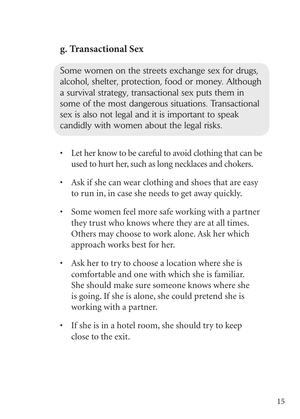# **g. Transactional Sex**

Some women on the streets exchange sex for drugs, alcohol, shelter, protection, food or money. Although a survival strategy, transactional sex puts them in some of the most dangerous situations. Transactional sex is also not legal and it is important to speak candidly with women about the legal risks.

- Let her know to be careful to avoid clothing that can be used to hurt her, such as long necklaces and chokers.
- Ask if she can wear clothing and shoes that are easy to run in, in case she needs to get away quickly.
- Some women feel more safe working with a partner they trust who knows where they are at all times. Others may choose to work alone. Ask her which approach works best for her.
- Ask her to try to choose a location where she is comfortable and one with which she is familiar. She should make sure someone knows where she is going. If she is alone, she could pretend she is working with a partner.
- If she is in a hotel room, she should try to keep close to the exit.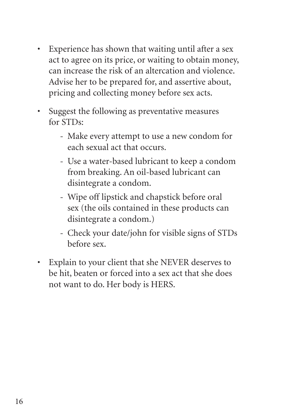- Experience has shown that waiting until after a sex act to agree on its price, or waiting to obtain money, can increase the risk of an altercation and violence. Advise her to be prepared for, and assertive about, pricing and collecting money before sex acts.
- Suggest the following as preventative measures for STDs:
	- Make every attempt to use a new condom for each sexual act that occurs.
	- Use a water-based lubricant to keep a condom from breaking. An oil-based lubricant can disintegrate a condom.
	- Wipe off lipstick and chapstick before oral sex (the oils contained in these products can disintegrate a condom.)
	- Check your date/john for visible signs of STDs before sex.
- Explain to your client that she NEVER deserves to be hit, beaten or forced into a sex act that she does not want to do. Her body is HERS.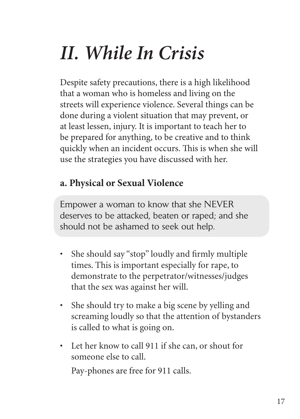# *II. While In Crisis*

Despite safety precautions, there is a high likelihood that a woman who is homeless and living on the streets will experience violence. Several things can be done during a violent situation that may prevent, or at least lessen, injury. It is important to teach her to be prepared for anything, to be creative and to think quickly when an incident occurs. This is when she will use the strategies you have discussed with her.

# **a. Physical or Sexual Violence**

Empower a woman to know that she NEVER deserves to be attacked, beaten or raped; and she should not be ashamed to seek out help.

- She should say "stop" loudly and firmly multiple times. This is important especially for rape, to demonstrate to the perpetrator/witnesses/judges that the sex was against her will.
- She should try to make a big scene by yelling and screaming loudly so that the attention of bystanders is called to what is going on.
- Let her know to call 911 if she can, or shout for someone else to call.

Pay-phones are free for 911 calls.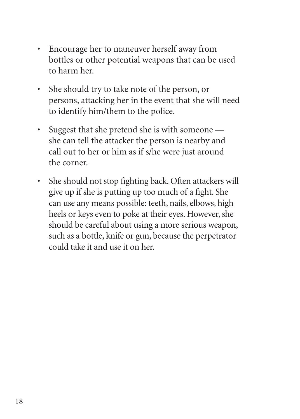- Encourage her to maneuver herself away from bottles or other potential weapons that can be used to harm her.
- She should try to take note of the person, or persons, attacking her in the event that she will need to identify him/them to the police.
- Suggest that she pretend she is with someone she can tell the attacker the person is nearby and call out to her or him as if s/he were just around the corner.
- She should not stop fighting back. Often attackers will give up if she is putting up too much of a fight. She can use any means possible: teeth, nails, elbows, high heels or keys even to poke at their eyes. However, she should be careful about using a more serious weapon, such as a bottle, knife or gun, because the perpetrator could take it and use it on her.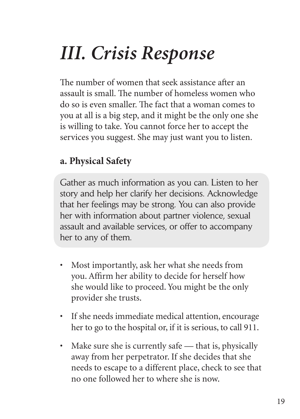# *III. Crisis Response*

The number of women that seek assistance after an assault is small. The number of homeless women who do so is even smaller. The fact that a woman comes to you at all is a big step, and it might be the only one she is willing to take. You cannot force her to accept the services you suggest. She may just want you to listen.

# **a. Physical Safety**

Gather as much information as you can. Listen to her story and help her clarify her decisions. Acknowledge that her feelings may be strong. You can also provide her with information about partner violence, sexual assault and available services, or offer to accompany her to any of them.

- Most importantly, ask her what she needs from you. Affirm her ability to decide for herself how she would like to proceed. You might be the only provider she trusts.
- If she needs immediate medical attention, encourage her to go to the hospital or, if it is serious, to call 911.
- Make sure she is currently safe that is, physically away from her perpetrator. If she decides that she needs to escape to a different place, check to see that no one followed her to where she is now.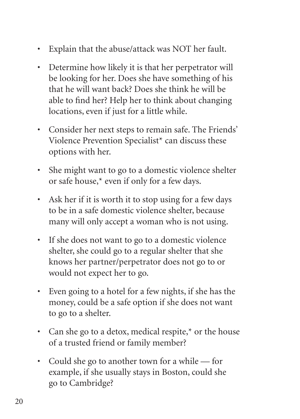- Explain that the abuse/attack was NOT her fault.
- Determine how likely it is that her perpetrator will be looking for her. Does she have something of his that he will want back? Does she think he will be able to find her? Help her to think about changing locations, even if just for a little while.
- Consider her next steps to remain safe. The Friends' Violence Prevention Specialist\* can discuss these options with her.
- She might want to go to a domestic violence shelter or safe house,\* even if only for a few days.
- Ask her if it is worth it to stop using for a few days to be in a safe domestic violence shelter, because many will only accept a woman who is not using.
- If she does not want to go to a domestic violence shelter, she could go to a regular shelter that she knows her partner/perpetrator does not go to or would not expect her to go.
- Even going to a hotel for a few nights, if she has the money, could be a safe option if she does not want to go to a shelter.
- Can she go to a detox, medical respite,\* or the house of a trusted friend or family member?
- Could she go to another town for a while for example, if she usually stays in Boston, could she go to Cambridge?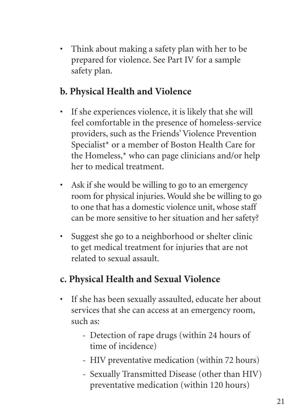• Think about making a safety plan with her to be prepared for violence. See Part IV for a sample safety plan.

# **b. Physical Health and Violence**

- If she experiences violence, it is likely that she will feel comfortable in the presence of homeless-service providers, such as the Friends' Violence Prevention Specialist\* or a member of Boston Health Care for the Homeless,\* who can page clinicians and/or help her to medical treatment.
- Ask if she would be willing to go to an emergency room for physical injuries. Would she be willing to go to one that has a domestic violence unit, whose staff can be more sensitive to her situation and her safety?
- Suggest she go to a neighborhood or shelter clinic to get medical treatment for injuries that are not related to sexual assault.

# **c. Physical Health and Sexual Violence**

- If she has been sexually assaulted, educate her about services that she can access at an emergency room, such as:
	- Detection of rape drugs (within 24 hours of time of incidence)
	- HIV preventative medication (within 72 hours)
	- Sexually Transmitted Disease (other than HIV) preventative medication (within 120 hours)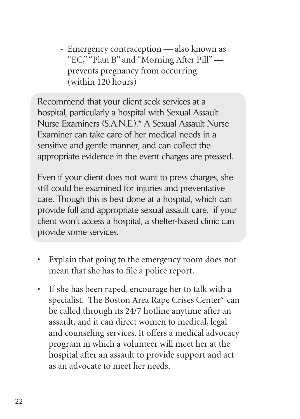- Emergency contraception — also known as "EC," "Plan B" and "Morning After Pill" prevents pregnancy from occurring (within 120 hours)

Recommend that your client seek services at a hospital, particularly a hospital with Sexual Assault Nurse Examiners (S.A.N.E.).\* A Sexual Assault Nurse Examiner can take care of her medical needs in a sensitive and gentle manner, and can collect the appropriate evidence in the event charges are pressed.

Even if your client does not want to press charges, she still could be examined for injuries and preventative care. Though this is best done at a hospital, which can provide full and appropriate sexual assault care, if your client won't access a hospital, a shelter-based clinic can provide some services.

- Explain that going to the emergency room does not mean that she has to file a police report.
- If she has been raped, encourage her to talk with a specialist. The Boston Area Rape Crises Center\* can be called through its 24/7 hotline anytime after an assault, and it can direct women to medical, legal and counseling services. It offers a medical advocacy program in which a volunteer will meet her at the hospital after an assault to provide support and act as an advocate to meet her needs.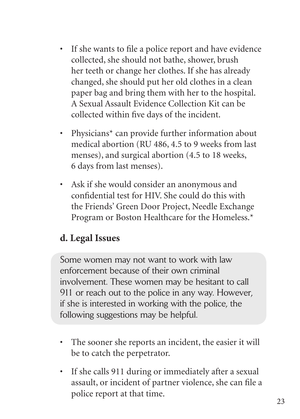- If she wants to file a police report and have evidence collected, she should not bathe, shower, brush her teeth or change her clothes. If she has already changed, she should put her old clothes in a clean paper bag and bring them with her to the hospital. A Sexual Assault Evidence Collection Kit can be collected within five days of the incident.
- Physicians\* can provide further information about medical abortion (RU 486, 4.5 to 9 weeks from last menses), and surgical abortion (4.5 to 18 weeks, 6 days from last menses).
- Ask if she would consider an anonymous and confidential test for HIV. She could do this with the Friends' Green Door Project, Needle Exchange Program or Boston Healthcare for the Homeless.\*

# **d. Legal Issues**

Some women may not want to work with law enforcement because of their own criminal involvement. These women may be hesitant to call 911 or reach out to the police in any way. However, if she is interested in working with the police, the following suggestions may be helpful.

- The sooner she reports an incident, the easier it will be to catch the perpetrator.
- If she calls 911 during or immediately after a sexual assault, or incident of partner violence, she can file a police report at that time.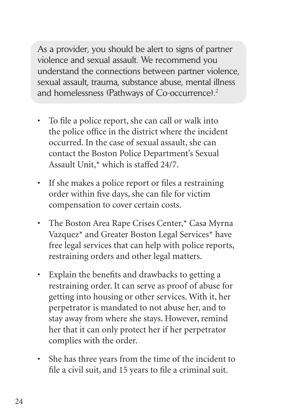As a provider, you should be alert to signs of partner violence and sexual assault. We recommend you understand the connections between partner violence, sexual assault, trauma, substance abuse, mental illness and homelessness (Pathways of Co-occurrence).<sup>2</sup>

- To file a police report, she can call or walk into the police office in the district where the incident occurred. In the case of sexual assault, she can contact the Boston Police Department's Sexual Assault Unit,\* which is staffed 24/7.
- If she makes a police report or files a restraining order within five days, she can file for victim compensation to cover certain costs.
- The Boston Area Rape Crises Center,\* Casa Myrna Vazquez\* and Greater Boston Legal Services\* have free legal services that can help with police reports, restraining orders and other legal matters.
- Explain the benefits and drawbacks to getting a restraining order. It can serve as proof of abuse for getting into housing or other services. With it, her perpetrator is mandated to not abuse her, and to stay away from where she stays. However, remind her that it can only protect her if her perpetrator complies with the order.
- She has three years from the time of the incident to file a civil suit, and 15 years to file a criminal suit.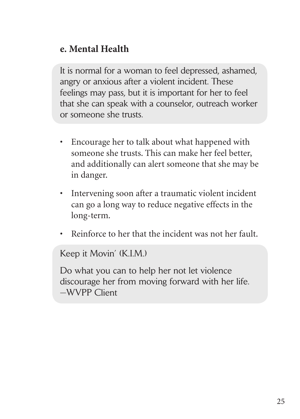## **e. Mental Health**

It is normal for a woman to feel depressed, ashamed, angry or anxious after a violent incident. These feelings may pass, but it is important for her to feel that she can speak with a counselor, outreach worker or someone she trusts.

- Encourage her to talk about what happened with someone she trusts. This can make her feel better, and additionally can alert someone that she may be in danger.
- Intervening soon after a traumatic violent incident can go a long way to reduce negative effects in the long-term.
- Reinforce to her that the incident was not her fault.

Keep it Movin' (K.I.M.)

Do what you can to help her not let violence discourage her from moving forward with her life. —WVPP Client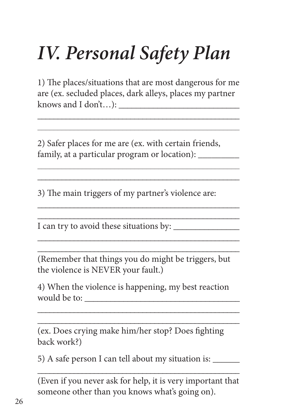# *IV. Personal Safety Plan*

1) The places/situations that are most dangerous for me are (ex. secluded places, dark alleys, places my partner knows and I don't...):

\_\_\_\_\_\_\_\_\_\_\_\_\_\_\_\_\_\_\_\_\_\_\_\_\_\_\_\_\_\_\_\_\_\_\_\_\_\_\_\_\_\_\_\_\_\_\_\_\_\_ \_\_\_\_\_\_\_\_\_\_\_\_\_\_\_\_\_\_\_\_\_\_\_\_\_\_\_\_\_\_\_\_\_\_\_\_\_\_\_\_\_\_\_\_\_\_\_\_\_\_

\_\_\_\_\_\_\_\_\_\_\_\_\_\_\_\_\_\_\_\_\_\_\_\_\_\_\_\_\_\_\_\_\_\_\_\_\_\_\_\_\_\_\_\_\_\_\_\_\_\_ \_\_\_\_\_\_\_\_\_\_\_\_\_\_\_\_\_\_\_\_\_\_\_\_\_\_\_\_\_\_\_\_\_\_\_\_\_\_\_\_\_\_\_\_\_\_\_\_\_\_

\_\_\_\_\_\_\_\_\_\_\_\_\_\_\_\_\_\_\_\_\_\_\_\_\_\_\_\_\_\_\_\_\_\_\_\_\_\_\_\_\_\_\_\_\_\_\_\_\_\_ \_\_\_\_\_\_\_\_\_\_\_\_\_\_\_\_\_\_\_\_\_\_\_\_\_\_\_\_\_\_\_\_\_\_\_\_\_\_\_\_\_\_\_\_\_\_\_\_\_\_

\_\_\_\_\_\_\_\_\_\_\_\_\_\_\_\_\_\_\_\_\_\_\_\_\_\_\_\_\_\_\_\_\_\_\_\_\_\_\_\_\_\_\_\_\_\_\_\_\_\_ \_\_\_\_\_\_\_\_\_\_\_\_\_\_\_\_\_\_\_\_\_\_\_\_\_\_\_\_\_\_\_\_\_\_\_\_\_\_\_\_\_\_\_\_\_\_\_\_\_\_

2) Safer places for me are (ex. with certain friends, family, at a particular program or location):

3) The main triggers of my partner's violence are:

I can try to avoid these situations by:

(Remember that things you do might be triggers, but the violence is NEVER your fault.)

4) When the violence is happening, my best reaction would be to: \_\_\_\_\_\_\_\_\_\_\_\_\_\_\_\_\_\_\_\_\_\_\_\_\_\_\_\_\_\_\_\_\_\_\_\_

\_\_\_\_\_\_\_\_\_\_\_\_\_\_\_\_\_\_\_\_\_\_\_\_\_\_\_\_\_\_\_\_\_\_\_\_\_\_\_\_\_\_\_\_\_\_\_\_\_\_

\_\_\_\_\_\_\_\_\_\_\_\_\_\_\_\_\_\_\_\_\_\_\_\_\_\_\_\_\_\_\_\_\_\_\_\_\_\_\_\_\_\_\_\_\_\_\_\_\_\_ (ex. Does crying make him/her stop? Does fighting back work?)

5) A safe person I can tell about my situation is: \_\_\_\_\_\_\_\_\_\_\_\_\_\_\_\_\_\_\_\_\_\_\_\_\_\_\_\_\_\_\_\_\_\_\_\_\_\_\_\_\_\_\_\_\_\_\_\_\_\_

(Even if you never ask for help, it is very important that someone other than you knows what's going on).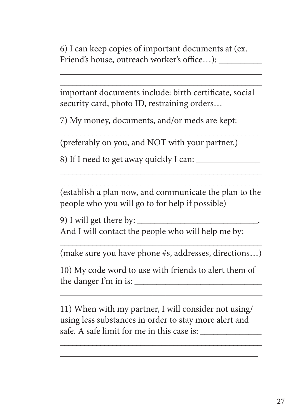6) I can keep copies of important documents at (ex. Friend's house, outreach worker's office...):

important documents include: birth certificate, social security card, photo ID, restraining orders…

\_\_\_\_\_\_\_\_\_\_\_\_\_\_\_\_\_\_\_\_\_\_\_\_\_\_\_\_\_\_\_\_\_\_\_\_\_\_\_\_\_\_\_\_\_\_\_\_\_\_

\_\_\_\_\_\_\_\_\_\_\_\_\_\_\_\_\_\_\_\_\_\_\_\_\_\_\_\_\_\_\_\_\_\_\_\_\_\_\_\_\_\_\_\_\_\_\_\_\_\_ \_\_\_\_\_\_\_\_\_\_\_\_\_\_\_\_\_\_\_\_\_\_\_\_\_\_\_\_\_\_\_\_\_\_\_\_\_\_\_\_\_\_\_\_\_\_\_\_\_\_

7) My money, documents, and/or meds are kept:

(preferably on you, and NOT with your partner.)

8) If I need to get away quickly I can:

\_\_\_\_\_\_\_\_\_\_\_\_\_\_\_\_\_\_\_\_\_\_\_\_\_\_\_\_\_\_\_\_\_\_\_\_\_\_\_\_\_\_\_\_\_\_\_\_\_\_ (establish a plan now, and communicate the plan to the people who you will go to for help if possible)

\_\_\_\_\_\_\_\_\_\_\_\_\_\_\_\_\_\_\_\_\_\_\_\_\_\_\_\_\_\_\_\_\_\_\_\_\_\_\_\_\_\_\_\_\_\_\_\_\_\_

9) I will get there by: And I will contact the people who will help me by:

\_\_\_\_\_\_\_\_\_\_\_\_\_\_\_\_\_\_\_\_\_\_\_\_\_\_\_\_\_\_\_\_\_\_\_\_\_\_\_\_\_\_\_\_\_\_\_\_\_\_ (make sure you have phone #s, addresses, directions…)

10) My code word to use with friends to alert them of the danger  $\Gamma$ m in is:

 $\overline{\phantom{a}}$  , and the contract of the contract of  $\overline{\phantom{a}}$ 

11) When with my partner, I will consider not using/ using less substances in order to stay more alert and safe. A safe limit for me in this case is:

\_\_\_\_\_\_\_\_\_\_\_\_\_\_\_\_\_\_\_\_\_\_\_\_\_\_\_\_\_\_\_\_\_\_\_\_\_\_\_\_\_\_\_\_\_\_\_\_\_\_ \_\_\_\_\_\_\_\_\_\_\_\_\_\_\_\_\_\_\_\_\_\_\_\_\_\_\_\_\_\_\_\_\_\_\_\_\_\_\_\_\_\_\_\_\_\_\_\_\_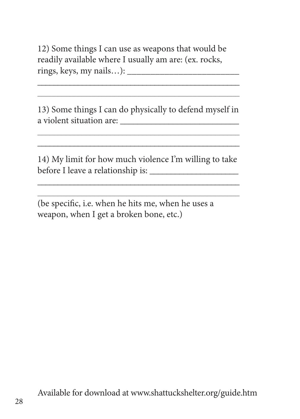12) Some things I can use as weapons that would be readily available where I usually am are: (ex. rocks, rings, keys, my nails…): \_\_\_\_\_\_\_\_\_\_\_\_\_\_\_\_\_\_\_\_\_\_\_\_

13) Some things I can do physically to defend myself in a violent situation are:

\_\_\_\_\_\_\_\_\_\_\_\_\_\_\_\_\_\_\_\_\_\_\_\_\_\_\_\_\_\_\_\_\_\_\_\_\_\_\_\_\_\_\_\_\_\_\_\_\_\_ \_\_\_\_\_\_\_\_\_\_\_\_\_\_\_\_\_\_\_\_\_\_\_\_\_\_\_\_\_\_\_\_\_\_\_\_\_\_\_\_\_\_\_\_\_\_\_\_\_\_

14) My limit for how much violence I'm willing to take before I leave a relationship is: \_\_\_\_\_\_\_\_\_\_\_\_\_\_\_\_\_\_\_\_\_

\_\_\_\_\_\_\_\_\_\_\_\_\_\_\_\_\_\_\_\_\_\_\_\_\_\_\_\_\_\_\_\_\_\_\_\_\_\_\_\_\_\_\_\_\_\_\_\_\_\_ \_\_\_\_\_\_\_\_\_\_\_\_\_\_\_\_\_\_\_\_\_\_\_\_\_\_\_\_\_\_\_\_\_\_\_\_\_\_\_\_\_\_\_\_\_\_\_\_\_\_

\_\_\_\_\_\_\_\_\_\_\_\_\_\_\_\_\_\_\_\_\_\_\_\_\_\_\_\_\_\_\_\_\_\_\_\_\_\_\_\_\_\_\_\_\_\_\_\_\_\_

(be specific, i.e. when he hits me, when he uses a weapon, when I get a broken bone, etc.)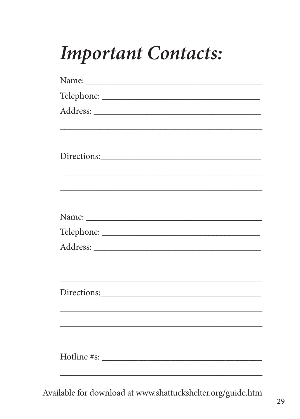# **Important Contacts:**

| <u> 1989 - Johann Barn, amerikan berkeman dan berkeman berkeman dalam berkeman dalam berkeman dalam berkeman dala</u> |
|-----------------------------------------------------------------------------------------------------------------------|
|                                                                                                                       |
|                                                                                                                       |
|                                                                                                                       |
|                                                                                                                       |
|                                                                                                                       |
|                                                                                                                       |
| <u> 1989 - Johann Stoff, amerikansk politiker (d. 1989)</u>                                                           |
|                                                                                                                       |
|                                                                                                                       |
|                                                                                                                       |
|                                                                                                                       |
|                                                                                                                       |
|                                                                                                                       |

Available for download at www.shattuckshelter.org/guide.htm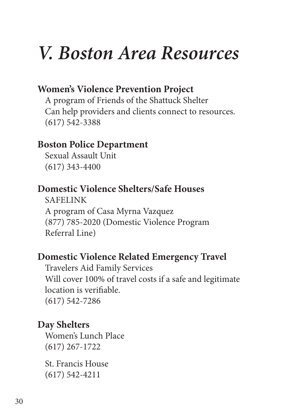# *V. Boston Area Resources*

### **Women's Violence Prevention Project**

A program of Friends of the Shattuck Shelter Can help providers and clients connect to resources. (617) 542-3388

### **Boston Police Department**

Sexual Assault Unit (617) 343-4400

### **Domestic Violence Shelters/Safe Houses**

SAFELINK A program of Casa Myrna Vazquez (877) 785-2020 (Domestic Violence Program Referral Line)

### **Domestic Violence Related Emergency Travel**

Travelers Aid Family Services Will cover 100% of travel costs if a safe and legitimate location is verifiable. (617) 542-7286

### **Day Shelters**

Women's Lunch Place (617) 267-1722

St. Francis House (617) 542-4211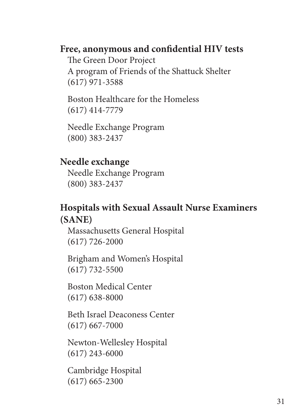### Free, anonymous and confidential HIV tests

The Green Door Project A program of Friends of the Shattuck Shelter (617) 971-3588

Boston Healthcare for the Homeless (617) 414-7779

Needle Exchange Program (800) 383-2437

### **Needle exchange**

Needle Exchange Program (800) 383-2437

### **Hospitals with Sexual Assault Nurse Examiners (SANE)**

Massachusetts General Hospital (617) 726-2000

Brigham and Women's Hospital (617) 732-5500

Boston Medical Center (617) 638-8000

Beth Israel Deaconess Center (617) 667-7000

Newton-Wellesley Hospital (617) 243-6000

Cambridge Hospital (617) 665-2300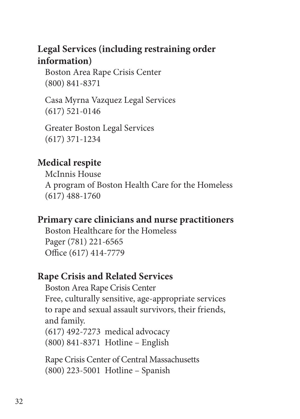# **Legal Services (including restraining order information)**

Boston Area Rape Crisis Center (800) 841-8371

Casa Myrna Vazquez Legal Services (617) 521-0146

Greater Boston Legal Services (617) 371-1234

# **Medical respite**

McInnis House A program of Boston Health Care for the Homeless (617) 488-1760

## **Primary care clinicians and nurse practitioners**

Boston Healthcare for the Homeless Pager (781) 221-6565 Office (617) 414-7779

## **Rape Crisis and Related Services**

Boston Area Rape Crisis Center Free, culturally sensitive, age-appropriate services to rape and sexual assault survivors, their friends, and family.

(617) 492-7273 medical advocacy (800) 841-8371 Hotline – English

Rape Crisis Center of Central Massachusetts (800) 223-5001 Hotline – Spanish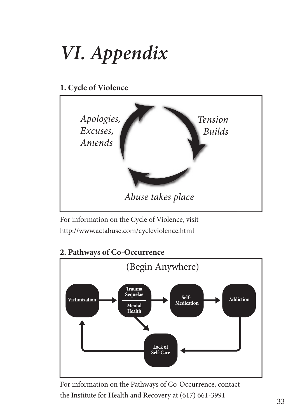# *VI. Appendix VI. Appendix* **11**

**1. Cycle of Violence**



For information on the Cycle of Violence, visit http://www.actabuse.com/cycleviolence.html http://www.actabuse.com/cycleviolence.html



**2. Pathways of Co-Occurrence 2. Pathways of Co-Occurence**

For information on the Pathways of Co-Occurrence, contact For information on Pathways of Co-Occurrence contact the Institute for Health and Recovery at (617) 661-3991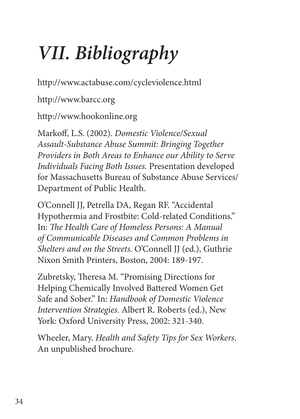# *VII. Bibliography*

http://www.actabuse.com/cycleviolence.html

http://www.barcc.org

http://www.hookonline.org

Markoff , L.S. (2002). *Domestic Violence/Sexual Assault-Substance Abuse Summit: Bringing Together Providers in Both Areas to Enhance our Ability to Serve Individuals Facing Both Issues.* Presentation developed for Massachusetts Bureau of Substance Abuse Services/ Department of Public Health.

O'Connell JJ, Petrella DA, Regan RF. "Accidental Hypothermia and Frostbite: Cold-related Conditions." In: The Health Care of Homeless Persons: A Manual *of Communicable Diseases and Common Problems in Shelters and on the Streets.* O'Connell JJ (ed.), Guthrie Nixon Smith Printers, Boston, 2004: 189-197.

Zubretsky, Theresa M. "Promising Directions for Helping Chemically Involved Battered Women Get Safe and Sober." In: *Handbook of Domestic Violence Intervention Strategies.* Albert R. Roberts (ed.), New York: Oxford University Press, 2002: 321-340.

Wheeler, Mary. *Health and Safety Tips for Sex Workers*. An unpublished brochure.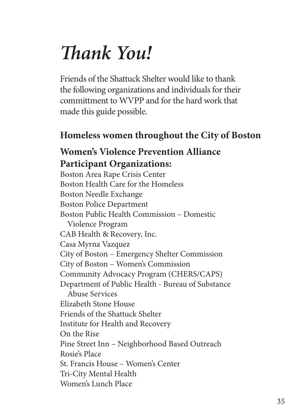# *Th ank You!*

Friends of the Shattuck Shelter would like to thank the following organizations and individuals for their committment to WVPP and for the hard work that made this guide possible.

# **Homeless women throughout the City of Boston**

# **Women's Violence Prevention Alliance Participant Organizations:**

Boston Area Rape Crisis Center Boston Health Care for the Homeless Boston Needle Exchange Boston Police Department Boston Public Health Commission – Domestic Violence Program CAB Health & Recovery, Inc. Casa Myrna Vazquez City of Boston – Emergency Shelter Commission City of Boston – Women's Commission Community Advocacy Program (CHERS/CAPS) Department of Public Health - Bureau of Substance Abuse Services Elizabeth Stone House Friends of the Shattuck Shelter Institute for Health and Recovery On the Rise Pine Street Inn – Neighborhood Based Outreach Rosie's Place St. Francis House – Women's Center Tri-City Mental Health Women's Lunch Place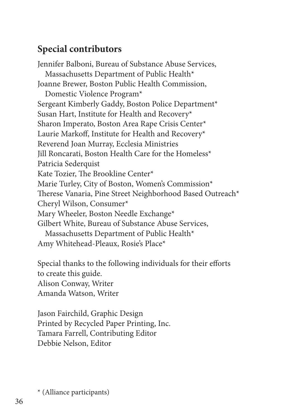# **Special contributors**

Jennifer Balboni, Bureau of Substance Abuse Services, Massachusetts Department of Public Health\* Joanne Brewer, Boston Public Health Commission, Domestic Violence Program\* Sergeant Kimberly Gaddy, Boston Police Department\* Susan Hart, Institute for Health and Recovery\* Sharon Imperato, Boston Area Rape Crisis Center\* Laurie Markoff, Institute for Health and Recovery\* Reverend Joan Murray, Ecclesia Ministries Jill Roncarati, Boston Health Care for the Homeless\* Patricia Sederquist Kate Tozier, The Brookline Center\* Marie Turley, City of Boston, Women's Commission\* Therese Vanaria, Pine Street Neighborhood Based Outreach\* Cheryl Wilson, Consumer\* Mary Wheeler, Boston Needle Exchange\* Gilbert White, Bureau of Substance Abuse Services, Massachusetts Department of Public Health\* Amy Whitehead-Pleaux, Rosie's Place\*

Special thanks to the following individuals for their efforts to create this guide. Alison Conway, Writer Amanda Watson, Writer

Jason Fairchild, Graphic Design Printed by Recycled Paper Printing, Inc. Tamara Farrell, Contributing Editor Debbie Nelson, Editor

\* (Alliance participants)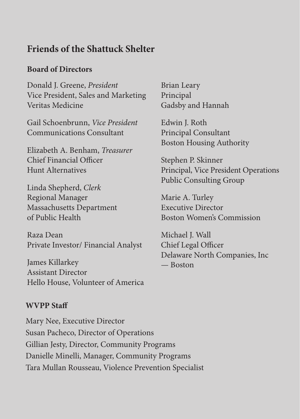### **Friends of the Shattuck Shelter**

### **Board of Directors**

Donald J. Greene, *President* Vice President, Sales and Marketing Veritas Medicine

Gail Schoenbrunn, *Vice President* Communications Consultant

Elizabeth A. Benham, *Treasurer* Chief Financial Officer Hunt Alternatives

Linda Shepherd, *Clerk* Regional Manager Massachusetts Department of Public Health

Raza Dean Private Investor/ Financial Analyst

James Killarkey Assistant Director Hello House, Volunteer of America Brian Leary Principal Gadsby and Hannah

Edwin J. Roth Principal Consultant Boston Housing Authority

Stephen P. Skinner Principal, Vice President Operations Public Consulting Group

Marie A. Turley Executive Director Boston Women's Commission

Michael J. Wall Chief Legal Officer Delaware North Companies, Inc — Boston

#### **WVPP Staff**

Mary Nee, Executive Director Susan Pacheco, Director of Operations Gillian Jesty, Director, Community Programs Danielle Minelli, Manager, Community Programs Tara Mullan Rousseau, Violence Prevention Specialist